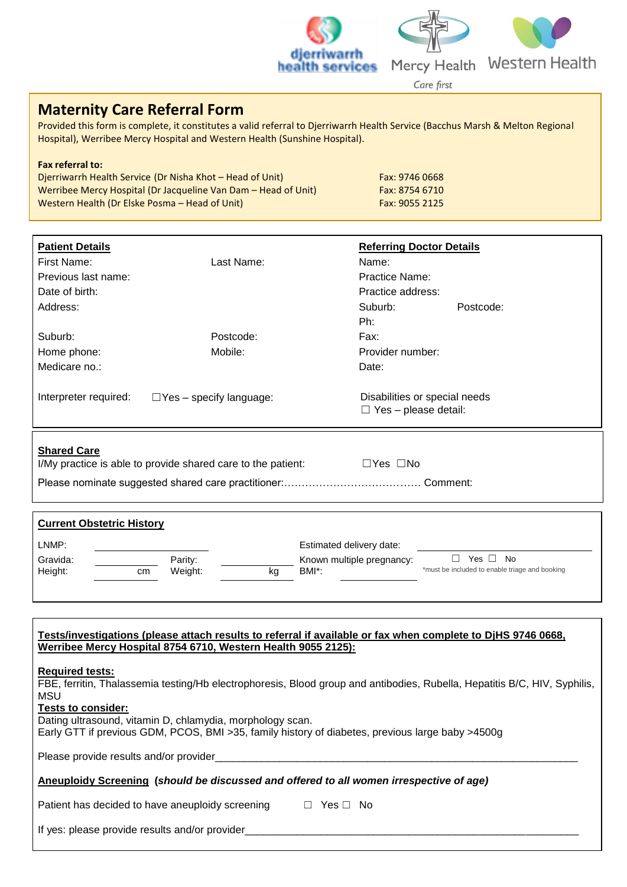



Care first

# **Maternity Care Referral Form**

Provided this form is complete, it constitutes a valid referral to Djerriwarrh Health Service (Bacchus Marsh & Melton Regional Hospital), Werribee Mercy Hospital and Western Health (Sunshine Hospital).

## **Fax referral to:** Djerriwarrh Health Service (Dr Nisha Khot – Head of Unit)<br>Werribee Mercy Hospital (Dr Jacqueline Van Dam – Head of Unit) Fax: 8754 6710 Werribee Mercy Hospital (Dr Jacqueline Van Dam – Head of Unit) Western Health (Dr Elske Posma – Head of Unit) Fax: 9055 2125

| <b>Patient Details</b>                                                                         |                                | <b>Referring Doctor Details</b>                              |  |  |
|------------------------------------------------------------------------------------------------|--------------------------------|--------------------------------------------------------------|--|--|
| First Name:                                                                                    | Last Name:                     | Name:                                                        |  |  |
| Previous last name:                                                                            |                                | <b>Practice Name:</b>                                        |  |  |
| Date of birth:                                                                                 |                                | Practice address:                                            |  |  |
| Address:                                                                                       |                                | Suburb:<br>Postcode:                                         |  |  |
|                                                                                                |                                | Ph:                                                          |  |  |
| Suburb:                                                                                        | Postcode:                      | Fax:                                                         |  |  |
| Home phone:                                                                                    | Mobile:                        | Provider number:                                             |  |  |
| Medicare no.:                                                                                  |                                | Date:                                                        |  |  |
| Interpreter required:                                                                          | $\Box$ Yes – specify language: | Disabilities or special needs<br>$\Box$ Yes – please detail: |  |  |
| <b>Shared Care</b><br>I/My practice is able to provide shared care to the patient:<br>□Yes □No |                                |                                                              |  |  |

Please nominate suggested shared care practitioner:………………………………… Comment:

| <b>Current Obstetric History</b> |    |                    |    |                                                                |                                                                    |  |  |  |
|----------------------------------|----|--------------------|----|----------------------------------------------------------------|--------------------------------------------------------------------|--|--|--|
| LNMP:<br>Gravida:<br>Height:     | cm | Parity:<br>Weight: | kg | Estimated delivery date:<br>Known multiple pregnancy:<br>BMI*: | Yes $\Box$<br>No<br>*must be included to enable triage and booking |  |  |  |
|                                  |    |                    |    |                                                                |                                                                    |  |  |  |

| Tests/investigations (please attach results to referral if available or fax when complete to DjHS 9746 0668,<br>Werribee Mercy Hospital 8754 6710, Western Health 9055 2125):                                                                                                                                                                       |  |  |  |  |  |  |  |  |
|-----------------------------------------------------------------------------------------------------------------------------------------------------------------------------------------------------------------------------------------------------------------------------------------------------------------------------------------------------|--|--|--|--|--|--|--|--|
| <b>Required tests:</b><br>FBE, ferritin, Thalassemia testing/Hb electrophoresis, Blood group and antibodies, Rubella, Hepatitis B/C, HIV, Syphilis,<br>MSU<br>Tests to consider:<br>Dating ultrasound, vitamin D, chlamydia, morphology scan.<br>Early GTT if previous GDM, PCOS, BMI > 35, family history of diabetes, previous large baby > 4500g |  |  |  |  |  |  |  |  |
| Please provide results and/or provider                                                                                                                                                                                                                                                                                                              |  |  |  |  |  |  |  |  |
| Aneuploidy Screening (should be discussed and offered to all women irrespective of age)                                                                                                                                                                                                                                                             |  |  |  |  |  |  |  |  |
| Patient has decided to have aneuploidy screening $\Box$ Yes $\Box$ No                                                                                                                                                                                                                                                                               |  |  |  |  |  |  |  |  |
| If yes: please provide results and/or provider                                                                                                                                                                                                                                                                                                      |  |  |  |  |  |  |  |  |